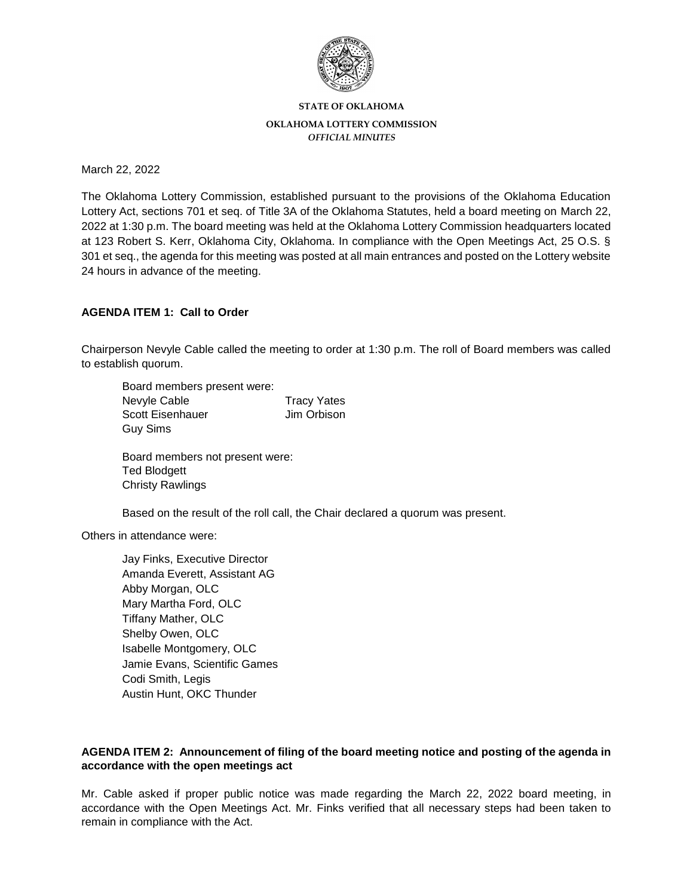

**STATE OF OKLAHOMA**

### **OKLAHOMA LOTTERY COMMISSION**

*OFFICIAL MINUTES*

March 22, 2022

The Oklahoma Lottery Commission, established pursuant to the provisions of the Oklahoma Education Lottery Act, sections 701 et seq. of Title 3A of the Oklahoma Statutes, held a board meeting on March 22, 2022 at 1:30 p.m. The board meeting was held at the Oklahoma Lottery Commission headquarters located at 123 Robert S. Kerr, Oklahoma City, Oklahoma. In compliance with the Open Meetings Act, 25 O.S. § 301 et seq., the agenda for this meeting was posted at all main entrances and posted on the Lottery website 24 hours in advance of the meeting.

## **AGENDA ITEM 1: Call to Order**

Chairperson Nevyle Cable called the meeting to order at 1:30 p.m. The roll of Board members was called to establish quorum.

| Board members present were: |                    |
|-----------------------------|--------------------|
| Nevyle Cable                | <b>Tracy Yates</b> |
| Scott Eisenhauer            | Jim Orbison        |
| Guy Sims                    |                    |

Board members not present were: Ted Blodgett Christy Rawlings

Based on the result of the roll call, the Chair declared a quorum was present.

Others in attendance were:

Jay Finks, Executive Director Amanda Everett, Assistant AG Abby Morgan, OLC Mary Martha Ford, OLC Tiffany Mather, OLC Shelby Owen, OLC Isabelle Montgomery, OLC Jamie Evans, Scientific Games Codi Smith, Legis Austin Hunt, OKC Thunder

## **AGENDA ITEM 2: Announcement of filing of the board meeting notice and posting of the agenda in accordance with the open meetings act**

Mr. Cable asked if proper public notice was made regarding the March 22, 2022 board meeting, in accordance with the Open Meetings Act. Mr. Finks verified that all necessary steps had been taken to remain in compliance with the Act.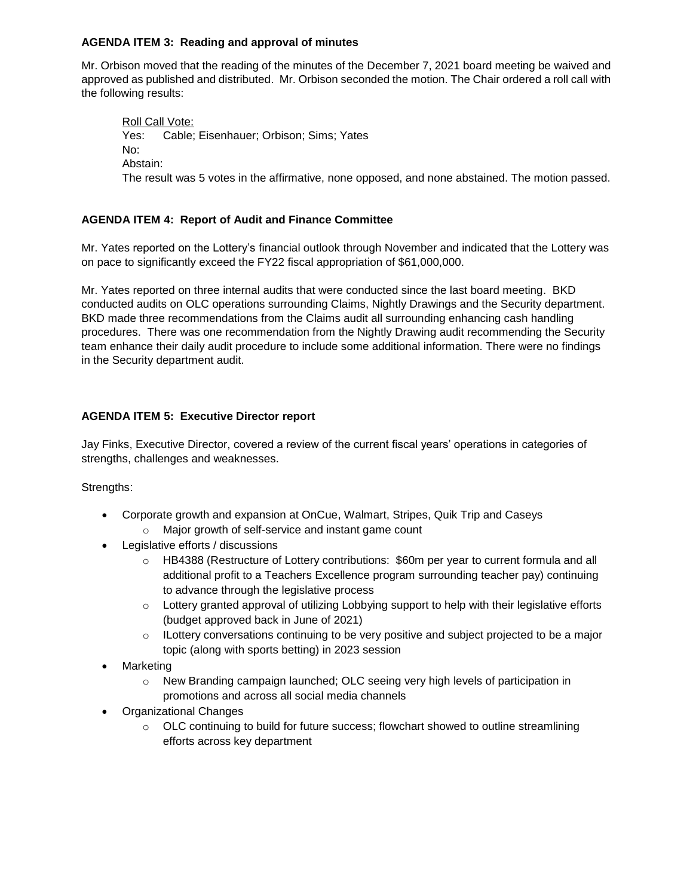### **AGENDA ITEM 3: Reading and approval of minutes**

Mr. Orbison moved that the reading of the minutes of the December 7, 2021 board meeting be waived and approved as published and distributed. Mr. Orbison seconded the motion. The Chair ordered a roll call with the following results:

Roll Call Vote: Yes: Cable; Eisenhauer; Orbison; Sims; Yates No: Abstain: The result was 5 votes in the affirmative, none opposed, and none abstained. The motion passed.

# **AGENDA ITEM 4: Report of Audit and Finance Committee**

Mr. Yates reported on the Lottery's financial outlook through November and indicated that the Lottery was on pace to significantly exceed the FY22 fiscal appropriation of \$61,000,000.

Mr. Yates reported on three internal audits that were conducted since the last board meeting. BKD conducted audits on OLC operations surrounding Claims, Nightly Drawings and the Security department. BKD made three recommendations from the Claims audit all surrounding enhancing cash handling procedures. There was one recommendation from the Nightly Drawing audit recommending the Security team enhance their daily audit procedure to include some additional information. There were no findings in the Security department audit.

## **AGENDA ITEM 5: Executive Director report**

Jay Finks, Executive Director, covered a review of the current fiscal years' operations in categories of strengths, challenges and weaknesses.

Strengths:

- Corporate growth and expansion at OnCue, Walmart, Stripes, Quik Trip and Caseys
	- o Major growth of self-service and instant game count
- Legislative efforts / discussions
	- o HB4388 (Restructure of Lottery contributions: \$60m per year to current formula and all additional profit to a Teachers Excellence program surrounding teacher pay) continuing to advance through the legislative process
	- $\circ$  Lottery granted approval of utilizing Lobbying support to help with their legislative efforts (budget approved back in June of 2021)
	- o ILottery conversations continuing to be very positive and subject projected to be a major topic (along with sports betting) in 2023 session
- **Marketing** 
	- o New Branding campaign launched; OLC seeing very high levels of participation in promotions and across all social media channels
- Organizational Changes
	- o OLC continuing to build for future success; flowchart showed to outline streamlining efforts across key department